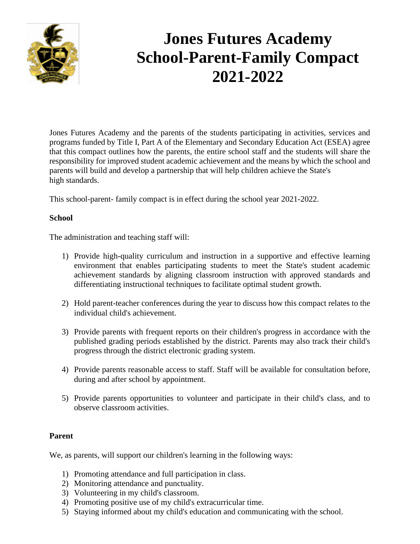

## **Jones Futures Academy School-Parent-Family Compact 2021-2022**

Jones Futures Academy and the parents of the students participating in activities, services and programs funded by Title I, Part A of the Elementary and Secondary Education Act (ESEA) agree that this compact outlines how the parents, the entire school staff and the students will share the responsibility for improved student academic achievement and the means by which the school and parents will build and develop a partnership that will help children achieve the State's high standards.

This school-parent- family compact is in effect during the school year 2021-2022.

## **School**

The administration and teaching staff will:

- 1) Provide high-quality curriculum and instruction in a supportive and effective learning environment that enables participating students to meet the State's student academic achievement standards by aligning classroom instruction with approved standards and differentiating instructional techniques to facilitate optimal student growth.
- 2) Hold parent-teacher conferences during the year to discuss how this compact relates to the individual child's achievement.
- 3) Provide parents with frequent reports on their children's progress in accordance with the published grading periods established by the district. Parents may also track their child's progress through the district electronic grading system.
- 4) Provide parents reasonable access to staff. Staff will be available for consultation before, during and after school by appointment.
- 5) Provide parents opportunities to volunteer and participate in their child's class, and to observe classroom activities.

## **Parent**

We, as parents, will support our children's learning in the following ways:

- 1) Promoting attendance and full participation in class.
- 2) Monitoring attendance and punctuality.
- 3) Volunteering in my child's classroom.
- 4) Promoting positive use of my child's extracurricular time.
- 5) Staying informed about my child's education and communicating with the school.